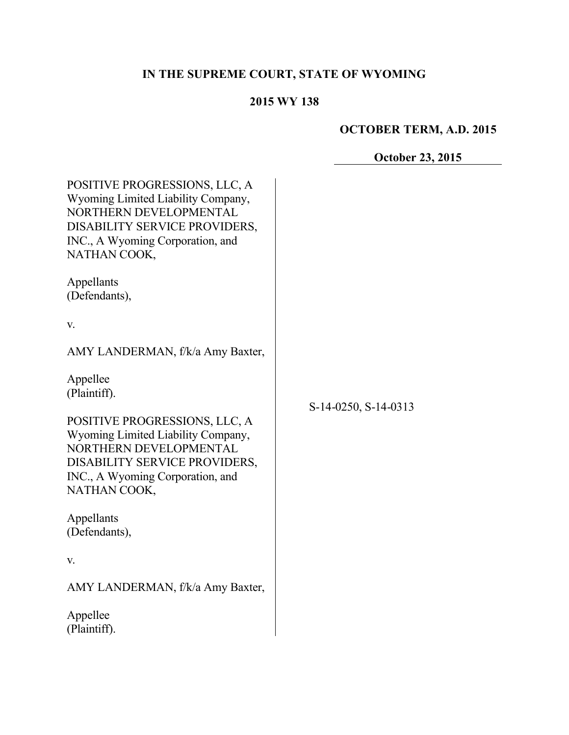# **IN THE SUPREME COURT, STATE OF WYOMING**

## **2015 WY 138**

# **OCTOBER TERM, A.D. 2015**

**October 23, 2015**

| POSITIVE PROGRESSIONS, LLC, A<br>Wyoming Limited Liability Company,<br>NORTHERN DEVELOPMENTAL<br>DISABILITY SERVICE PROVIDERS,<br>INC., A Wyoming Corporation, and<br>NATHAN COOK,                             |                      |
|----------------------------------------------------------------------------------------------------------------------------------------------------------------------------------------------------------------|----------------------|
| Appellants<br>(Defendants),                                                                                                                                                                                    |                      |
| V.                                                                                                                                                                                                             |                      |
| AMY LANDERMAN, f/k/a Amy Baxter,                                                                                                                                                                               |                      |
| Appellee<br>(Plaintiff).<br>POSITIVE PROGRESSIONS, LLC, A<br>Wyoming Limited Liability Company,<br>NORTHERN DEVELOPMENTAL<br>DISABILITY SERVICE PROVIDERS,<br>INC., A Wyoming Corporation, and<br>NATHAN COOK, | S-14-0250, S-14-0313 |
| Appellants<br>(Defendants),                                                                                                                                                                                    |                      |
| V.                                                                                                                                                                                                             |                      |
| AMY LANDERMAN, f/k/a Amy Baxter,                                                                                                                                                                               |                      |
| Appellee<br>(Plaintiff).                                                                                                                                                                                       |                      |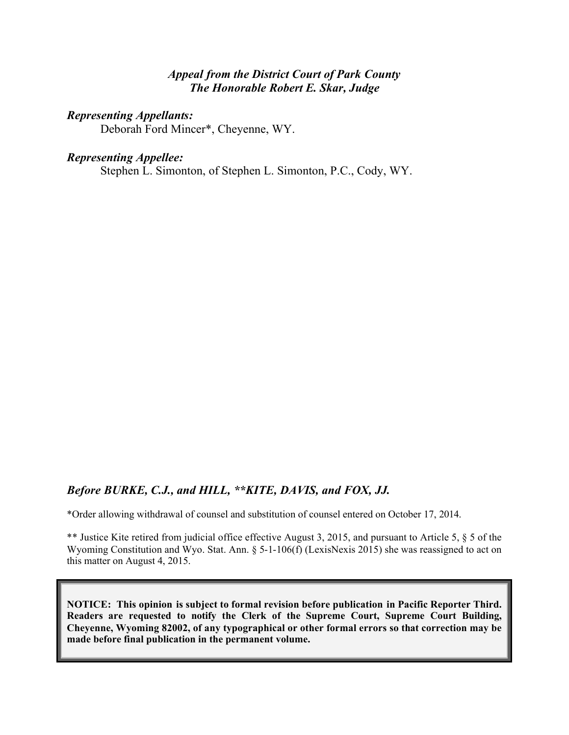#### *Appeal from the District Court of Park County The Honorable Robert E. Skar, Judge*

#### *Representing Appellants:*

Deborah Ford Mincer\*, Cheyenne, WY.

#### *Representing Appellee:*

Stephen L. Simonton, of Stephen L. Simonton, P.C., Cody, WY.

#### *Before BURKE, C.J., and HILL, \*\*KITE, DAVIS, and FOX, JJ.*

\*Order allowing withdrawal of counsel and substitution of counsel entered on October 17, 2014.

\*\* Justice Kite retired from judicial office effective August 3, 2015, and pursuant to Article 5, § 5 of the Wyoming Constitution and Wyo. Stat. Ann. § 5-1-106(f) (LexisNexis 2015) she was reassigned to act on this matter on August 4, 2015.

**NOTICE: This opinion is subject to formal revision before publication in Pacific Reporter Third. Readers are requested to notify the Clerk of the Supreme Court, Supreme Court Building, Cheyenne, Wyoming 82002, of any typographical or other formal errors so that correction may be made before final publication in the permanent volume.**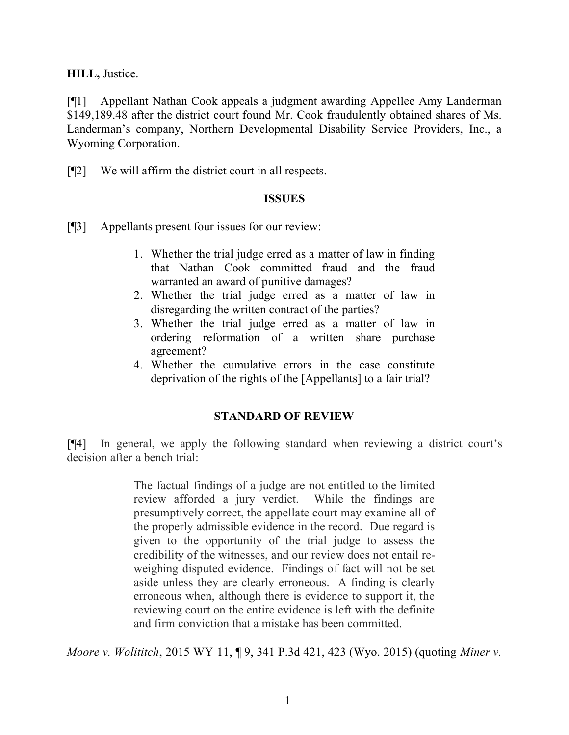**HILL,** Justice.

[¶1] Appellant Nathan Cook appeals a judgment awarding Appellee Amy Landerman \$149,189.48 after the district court found Mr. Cook fraudulently obtained shares of Ms. Landerman's company, Northern Developmental Disability Service Providers, Inc., a Wyoming Corporation.

[¶2] We will affirm the district court in all respects.

#### **ISSUES**

[¶3] Appellants present four issues for our review:

- 1. Whether the trial judge erred as a matter of law in finding that Nathan Cook committed fraud and the fraud warranted an award of punitive damages?
- 2. Whether the trial judge erred as a matter of law in disregarding the written contract of the parties?
- 3. Whether the trial judge erred as a matter of law in ordering reformation of a written share purchase agreement?
- 4. Whether the cumulative errors in the case constitute deprivation of the rights of the [Appellants] to a fair trial?

## **STANDARD OF REVIEW**

[¶4] In general, we apply the following standard when reviewing a district court's decision after a bench trial:

> The factual findings of a judge are not entitled to the limited review afforded a jury verdict. While the findings are presumptively correct, the appellate court may examine all of the properly admissible evidence in the record. Due regard is given to the opportunity of the trial judge to assess the credibility of the witnesses, and our review does not entail reweighing disputed evidence. Findings of fact will not be set aside unless they are clearly erroneous. A finding is clearly erroneous when, although there is evidence to support it, the reviewing court on the entire evidence is left with the definite and firm conviction that a mistake has been committed.

*Moore v. Wolititch*, 2015 WY 11, ¶ 9, 341 P.3d 421, 423 (Wyo. 2015) (quoting *Miner v.*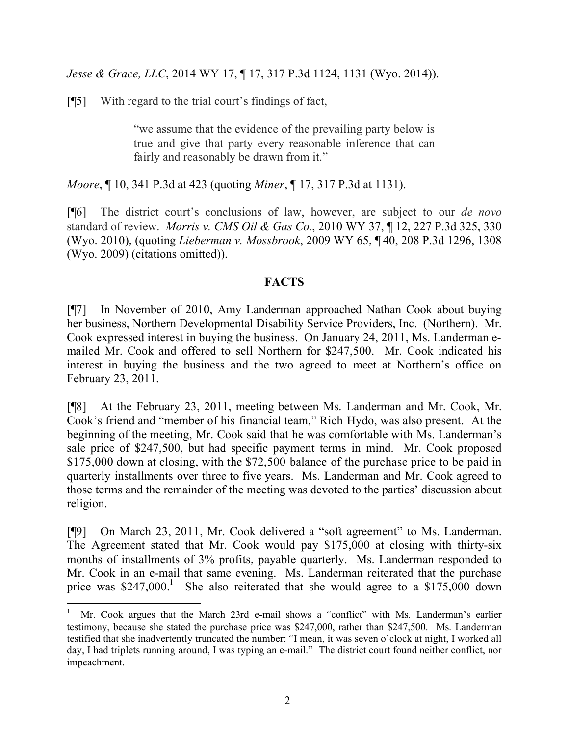*Jesse & Grace, LLC*, 2014 WY 17, ¶ 17, 317 P.3d 1124, 1131 (Wyo. 2014)).

[¶5] With regard to the trial court's findings of fact,

"we assume that the evidence of the prevailing party below is true and give that party every reasonable inference that can fairly and reasonably be drawn from it."

*Moore*, ¶ 10, 341 P.3d at 423 (quoting *Miner*, ¶ 17, 317 P.3d at 1131).

[¶6] The district court's conclusions of law, however, are subject to our *de novo* standard of review. *Morris v. CMS Oil & Gas Co.*, 2010 WY 37, ¶ 12, 227 P.3d 325, 330 (Wyo. 2010), (quoting *Lieberman v. Mossbrook*, 2009 WY 65, ¶ 40, 208 P.3d 1296, 1308 (Wyo. 2009) (citations omitted)).

## **FACTS**

[¶7] In November of 2010, Amy Landerman approached Nathan Cook about buying her business, Northern Developmental Disability Service Providers, Inc. (Northern). Mr. Cook expressed interest in buying the business. On January 24, 2011, Ms. Landerman emailed Mr. Cook and offered to sell Northern for \$247,500. Mr. Cook indicated his interest in buying the business and the two agreed to meet at Northern's office on February 23, 2011.

[¶8] At the February 23, 2011, meeting between Ms. Landerman and Mr. Cook, Mr. Cook's friend and "member of his financial team," Rich Hydo, was also present. At the beginning of the meeting, Mr. Cook said that he was comfortable with Ms. Landerman's sale price of \$247,500, but had specific payment terms in mind. Mr. Cook proposed \$175,000 down at closing, with the \$72,500 balance of the purchase price to be paid in quarterly installments over three to five years. Ms. Landerman and Mr. Cook agreed to those terms and the remainder of the meeting was devoted to the parties' discussion about religion.

[¶9] On March 23, 2011, Mr. Cook delivered a "soft agreement" to Ms. Landerman. The Agreement stated that Mr. Cook would pay \$175,000 at closing with thirty-six months of installments of 3% profits, payable quarterly. Ms. Landerman responded to Mr. Cook in an e-mail that same evening. Ms. Landerman reiterated that the purchase price was  $$247,000$ .<sup>1</sup> She also reiterated that she would agree to a  $$175,000$  down

<sup>1</sup> Mr. Cook argues that the March 23rd e-mail shows a "conflict" with Ms. Landerman's earlier testimony, because she stated the purchase price was \$247,000, rather than \$247,500. Ms. Landerman testified that she inadvertently truncated the number: "I mean, it was seven o'clock at night, I worked all day, I had triplets running around, I was typing an e-mail." The district court found neither conflict, nor impeachment.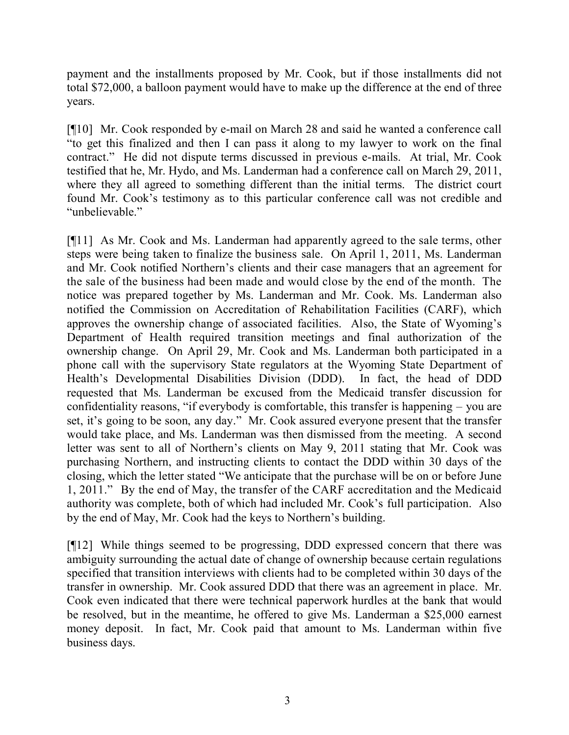payment and the installments proposed by Mr. Cook, but if those installments did not total \$72,000, a balloon payment would have to make up the difference at the end of three years.

[¶10] Mr. Cook responded by e-mail on March 28 and said he wanted a conference call "to get this finalized and then I can pass it along to my lawyer to work on the final contract." He did not dispute terms discussed in previous e-mails. At trial, Mr. Cook testified that he, Mr. Hydo, and Ms. Landerman had a conference call on March 29, 2011, where they all agreed to something different than the initial terms. The district court found Mr. Cook's testimony as to this particular conference call was not credible and "unbelievable."

[¶11] As Mr. Cook and Ms. Landerman had apparently agreed to the sale terms, other steps were being taken to finalize the business sale. On April 1, 2011, Ms. Landerman and Mr. Cook notified Northern's clients and their case managers that an agreement for the sale of the business had been made and would close by the end of the month. The notice was prepared together by Ms. Landerman and Mr. Cook. Ms. Landerman also notified the Commission on Accreditation of Rehabilitation Facilities (CARF), which approves the ownership change of associated facilities. Also, the State of Wyoming's Department of Health required transition meetings and final authorization of the ownership change. On April 29, Mr. Cook and Ms. Landerman both participated in a phone call with the supervisory State regulators at the Wyoming State Department of Health's Developmental Disabilities Division (DDD). In fact, the head of DDD requested that Ms. Landerman be excused from the Medicaid transfer discussion for confidentiality reasons, "if everybody is comfortable, this transfer is happening – you are set, it's going to be soon, any day." Mr. Cook assured everyone present that the transfer would take place, and Ms. Landerman was then dismissed from the meeting. A second letter was sent to all of Northern's clients on May 9, 2011 stating that Mr. Cook was purchasing Northern, and instructing clients to contact the DDD within 30 days of the closing, which the letter stated "We anticipate that the purchase will be on or before June 1, 2011." By the end of May, the transfer of the CARF accreditation and the Medicaid authority was complete, both of which had included Mr. Cook's full participation. Also by the end of May, Mr. Cook had the keys to Northern's building.

[¶12] While things seemed to be progressing, DDD expressed concern that there was ambiguity surrounding the actual date of change of ownership because certain regulations specified that transition interviews with clients had to be completed within 30 days of the transfer in ownership. Mr. Cook assured DDD that there was an agreement in place. Mr. Cook even indicated that there were technical paperwork hurdles at the bank that would be resolved, but in the meantime, he offered to give Ms. Landerman a \$25,000 earnest money deposit. In fact, Mr. Cook paid that amount to Ms. Landerman within five business days.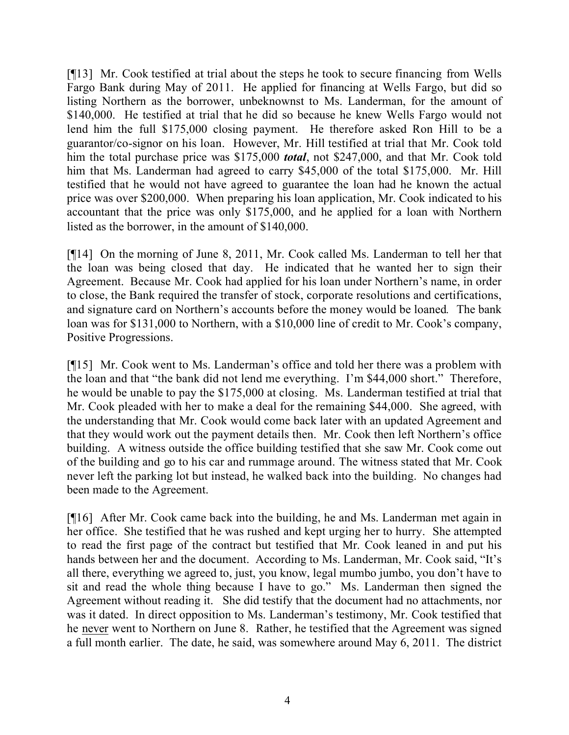[¶13] Mr. Cook testified at trial about the steps he took to secure financing from Wells Fargo Bank during May of 2011. He applied for financing at Wells Fargo, but did so listing Northern as the borrower, unbeknownst to Ms. Landerman, for the amount of \$140,000. He testified at trial that he did so because he knew Wells Fargo would not lend him the full \$175,000 closing payment. He therefore asked Ron Hill to be a guarantor/co-signor on his loan. However, Mr. Hill testified at trial that Mr. Cook told him the total purchase price was \$175,000 *total*, not \$247,000, and that Mr. Cook told him that Ms. Landerman had agreed to carry \$45,000 of the total \$175,000. Mr. Hill testified that he would not have agreed to guarantee the loan had he known the actual price was over \$200,000. When preparing his loan application, Mr. Cook indicated to his accountant that the price was only \$175,000, and he applied for a loan with Northern listed as the borrower, in the amount of \$140,000.

[¶14] On the morning of June 8, 2011, Mr. Cook called Ms. Landerman to tell her that the loan was being closed that day. He indicated that he wanted her to sign their Agreement. Because Mr. Cook had applied for his loan under Northern's name, in order to close, the Bank required the transfer of stock, corporate resolutions and certifications, and signature card on Northern's accounts before the money would be loaned*.* The bank loan was for \$131,000 to Northern, with a \$10,000 line of credit to Mr. Cook's company, Positive Progressions.

[¶15] Mr. Cook went to Ms. Landerman's office and told her there was a problem with the loan and that "the bank did not lend me everything. I'm \$44,000 short." Therefore, he would be unable to pay the \$175,000 at closing. Ms. Landerman testified at trial that Mr. Cook pleaded with her to make a deal for the remaining \$44,000. She agreed, with the understanding that Mr. Cook would come back later with an updated Agreement and that they would work out the payment details then. Mr. Cook then left Northern's office building. A witness outside the office building testified that she saw Mr. Cook come out of the building and go to his car and rummage around. The witness stated that Mr. Cook never left the parking lot but instead, he walked back into the building. No changes had been made to the Agreement.

[¶16] After Mr. Cook came back into the building, he and Ms. Landerman met again in her office. She testified that he was rushed and kept urging her to hurry. She attempted to read the first page of the contract but testified that Mr. Cook leaned in and put his hands between her and the document. According to Ms. Landerman, Mr. Cook said, "It's all there, everything we agreed to, just, you know, legal mumbo jumbo, you don't have to sit and read the whole thing because I have to go." Ms. Landerman then signed the Agreement without reading it. She did testify that the document had no attachments, nor was it dated. In direct opposition to Ms. Landerman's testimony, Mr. Cook testified that he never went to Northern on June 8. Rather, he testified that the Agreement was signed a full month earlier. The date, he said, was somewhere around May 6, 2011. The district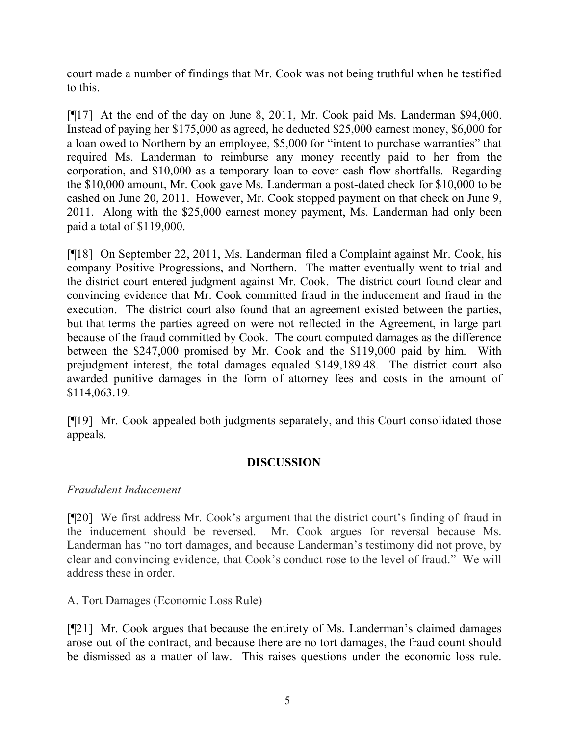court made a number of findings that Mr. Cook was not being truthful when he testified to this.

[¶17] At the end of the day on June 8, 2011, Mr. Cook paid Ms. Landerman \$94,000. Instead of paying her \$175,000 as agreed, he deducted \$25,000 earnest money, \$6,000 for a loan owed to Northern by an employee, \$5,000 for "intent to purchase warranties" that required Ms. Landerman to reimburse any money recently paid to her from the corporation, and \$10,000 as a temporary loan to cover cash flow shortfalls. Regarding the \$10,000 amount, Mr. Cook gave Ms. Landerman a post-dated check for \$10,000 to be cashed on June 20, 2011. However, Mr. Cook stopped payment on that check on June 9, 2011. Along with the \$25,000 earnest money payment, Ms. Landerman had only been paid a total of \$119,000.

[¶18] On September 22, 2011, Ms. Landerman filed a Complaint against Mr. Cook, his company Positive Progressions, and Northern. The matter eventually went to trial and the district court entered judgment against Mr. Cook. The district court found clear and convincing evidence that Mr. Cook committed fraud in the inducement and fraud in the execution. The district court also found that an agreement existed between the parties, but that terms the parties agreed on were not reflected in the Agreement, in large part because of the fraud committed by Cook. The court computed damages as the difference between the \$247,000 promised by Mr. Cook and the \$119,000 paid by him. With prejudgment interest, the total damages equaled \$149,189.48. The district court also awarded punitive damages in the form of attorney fees and costs in the amount of \$114,063.19.

[¶19] Mr. Cook appealed both judgments separately, and this Court consolidated those appeals.

# **DISCUSSION**

# *Fraudulent Inducement*

[¶20] We first address Mr. Cook's argument that the district court's finding of fraud in the inducement should be reversed. Mr. Cook argues for reversal because Ms. Landerman has "no tort damages, and because Landerman's testimony did not prove, by clear and convincing evidence, that Cook's conduct rose to the level of fraud." We will address these in order.

# A. Tort Damages (Economic Loss Rule)

[¶21] Mr. Cook argues that because the entirety of Ms. Landerman's claimed damages arose out of the contract, and because there are no tort damages, the fraud count should be dismissed as a matter of law. This raises questions under the economic loss rule.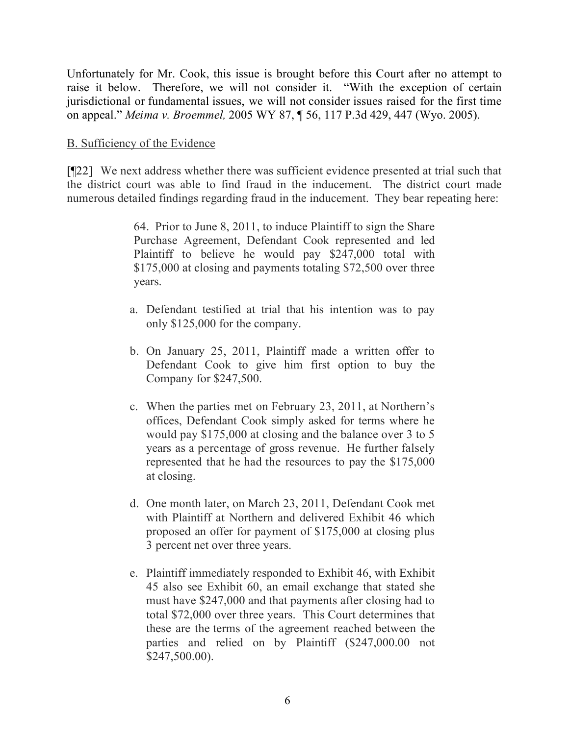Unfortunately for Mr. Cook, this issue is brought before this Court after no attempt to raise it below. Therefore, we will not consider it. "With the exception of certain jurisdictional or fundamental issues, we will not consider issues raised for the first time on appeal." *Meima v. Broemmel,* 2005 WY 87, ¶ 56, 117 P.3d 429, 447 (Wyo. 2005).

#### B. Sufficiency of the Evidence

[¶22] We next address whether there was sufficient evidence presented at trial such that the district court was able to find fraud in the inducement. The district court made numerous detailed findings regarding fraud in the inducement. They bear repeating here:

> 64. Prior to June 8, 2011, to induce Plaintiff to sign the Share Purchase Agreement, Defendant Cook represented and led Plaintiff to believe he would pay \$247,000 total with \$175,000 at closing and payments totaling \$72,500 over three years.

- a. Defendant testified at trial that his intention was to pay only \$125,000 for the company.
- b. On January 25, 2011, Plaintiff made a written offer to Defendant Cook to give him first option to buy the Company for \$247,500.
- c. When the parties met on February 23, 2011, at Northern's offices, Defendant Cook simply asked for terms where he would pay \$175,000 at closing and the balance over 3 to 5 years as a percentage of gross revenue. He further falsely represented that he had the resources to pay the \$175,000 at closing.
- d. One month later, on March 23, 2011, Defendant Cook met with Plaintiff at Northern and delivered Exhibit 46 which proposed an offer for payment of \$175,000 at closing plus 3 percent net over three years.
- e. Plaintiff immediately responded to Exhibit 46, with Exhibit 45 also see Exhibit 60, an email exchange that stated she must have \$247,000 and that payments after closing had to total \$72,000 over three years. This Court determines that these are the terms of the agreement reached between the parties and relied on by Plaintiff (\$247,000.00 not \$247,500.00).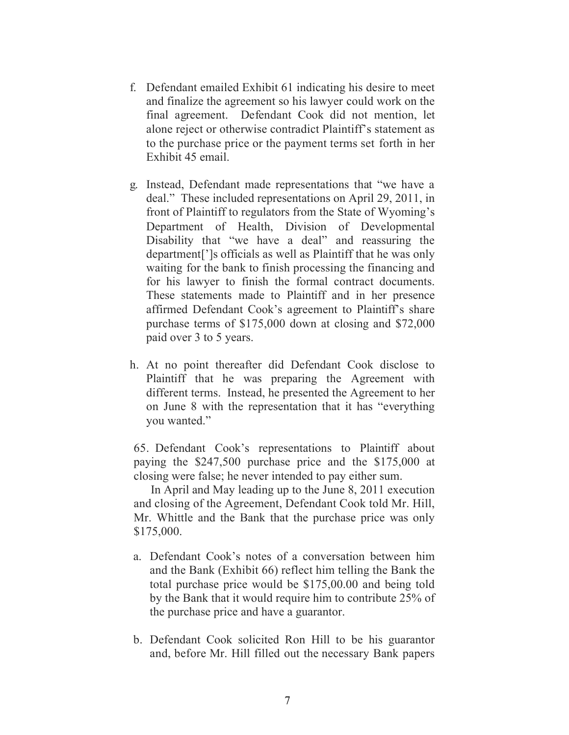- f. Defendant emailed Exhibit 61 indicating his desire to meet and finalize the agreement so his lawyer could work on the final agreement. Defendant Cook did not mention, let alone reject or otherwise contradict Plaintiff's statement as to the purchase price or the payment terms set forth in her Exhibit 45 email.
- g. Instead, Defendant made representations that "we have a deal." These included representations on April 29, 2011, in front of Plaintiff to regulators from the State of Wyoming's Department of Health, Division of Developmental Disability that "we have a deal" and reassuring the department[']s officials as well as Plaintiff that he was only waiting for the bank to finish processing the financing and for his lawyer to finish the formal contract documents. These statements made to Plaintiff and in her presence affirmed Defendant Cook's agreement to Plaintiff's share purchase terms of \$175,000 down at closing and \$72,000 paid over 3 to 5 years.
- h. At no point thereafter did Defendant Cook disclose to Plaintiff that he was preparing the Agreement with different terms. Instead, he presented the Agreement to her on June 8 with the representation that it has "everything you wanted."

65. Defendant Cook's representations to Plaintiff about paying the \$247,500 purchase price and the \$175,000 at closing were false; he never intended to pay either sum.

In April and May leading up to the June 8, 2011 execution and closing of the Agreement, Defendant Cook told Mr. Hill, Mr. Whittle and the Bank that the purchase price was only \$175,000.

- a. Defendant Cook's notes of a conversation between him and the Bank (Exhibit 66) reflect him telling the Bank the total purchase price would be \$175,00.00 and being told by the Bank that it would require him to contribute 25% of the purchase price and have a guarantor.
- b. Defendant Cook solicited Ron Hill to be his guarantor and, before Mr. Hill filled out the necessary Bank papers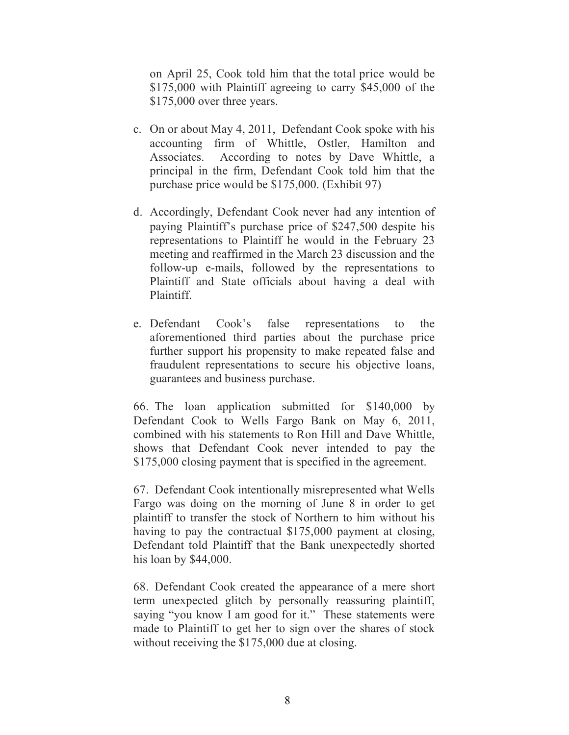on April 25, Cook told him that the total price would be \$175,000 with Plaintiff agreeing to carry \$45,000 of the \$175,000 over three years.

- c. On or about May 4, 2011, Defendant Cook spoke with his accounting firm of Whittle, Ostler, Hamilton and Associates. According to notes by Dave Whittle, a principal in the firm, Defendant Cook told him that the purchase price would be \$175,000. (Exhibit 97)
- d. Accordingly, Defendant Cook never had any intention of paying Plaintiff's purchase price of \$247,500 despite his representations to Plaintiff he would in the February 23 meeting and reaffirmed in the March 23 discussion and the follow-up e-mails, followed by the representations to Plaintiff and State officials about having a deal with Plaintiff.
- e. Defendant Cook's false representations to the aforementioned third parties about the purchase price further support his propensity to make repeated false and fraudulent representations to secure his objective loans, guarantees and business purchase.

66. The loan application submitted for \$140,000 by Defendant Cook to Wells Fargo Bank on May 6, 2011, combined with his statements to Ron Hill and Dave Whittle, shows that Defendant Cook never intended to pay the \$175,000 closing payment that is specified in the agreement.

67. Defendant Cook intentionally misrepresented what Wells Fargo was doing on the morning of June 8 in order to get plaintiff to transfer the stock of Northern to him without his having to pay the contractual \$175,000 payment at closing. Defendant told Plaintiff that the Bank unexpectedly shorted his loan by \$44,000.

68. Defendant Cook created the appearance of a mere short term unexpected glitch by personally reassuring plaintiff, saying "you know I am good for it." These statements were made to Plaintiff to get her to sign over the shares of stock without receiving the \$175,000 due at closing.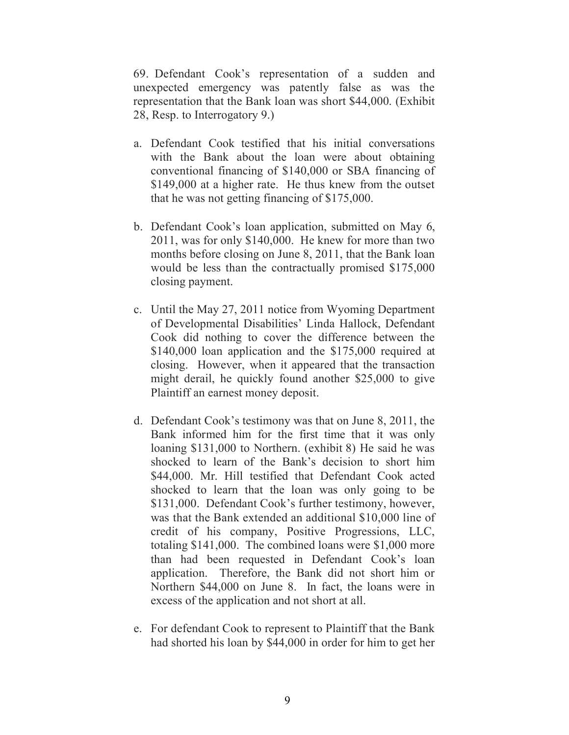69. Defendant Cook's representation of a sudden and unexpected emergency was patently false as was the representation that the Bank loan was short \$44,000. (Exhibit 28, Resp. to Interrogatory 9.)

- a. Defendant Cook testified that his initial conversations with the Bank about the loan were about obtaining conventional financing of \$140,000 or SBA financing of \$149,000 at a higher rate. He thus knew from the outset that he was not getting financing of \$175,000.
- b. Defendant Cook's loan application, submitted on May 6, 2011, was for only \$140,000. He knew for more than two months before closing on June 8, 2011, that the Bank loan would be less than the contractually promised \$175,000 closing payment.
- c. Until the May 27, 2011 notice from Wyoming Department of Developmental Disabilities' Linda Hallock, Defendant Cook did nothing to cover the difference between the \$140,000 loan application and the \$175,000 required at closing. However, when it appeared that the transaction might derail, he quickly found another \$25,000 to give Plaintiff an earnest money deposit.
- d. Defendant Cook's testimony was that on June 8, 2011, the Bank informed him for the first time that it was only loaning \$131,000 to Northern. (exhibit 8) He said he was shocked to learn of the Bank's decision to short him \$44,000. Mr. Hill testified that Defendant Cook acted shocked to learn that the loan was only going to be \$131,000. Defendant Cook's further testimony, however, was that the Bank extended an additional \$10,000 line of credit of his company, Positive Progressions, LLC, totaling \$141,000. The combined loans were \$1,000 more than had been requested in Defendant Cook's loan application. Therefore, the Bank did not short him or Northern \$44,000 on June 8. In fact, the loans were in excess of the application and not short at all.
- e. For defendant Cook to represent to Plaintiff that the Bank had shorted his loan by \$44,000 in order for him to get her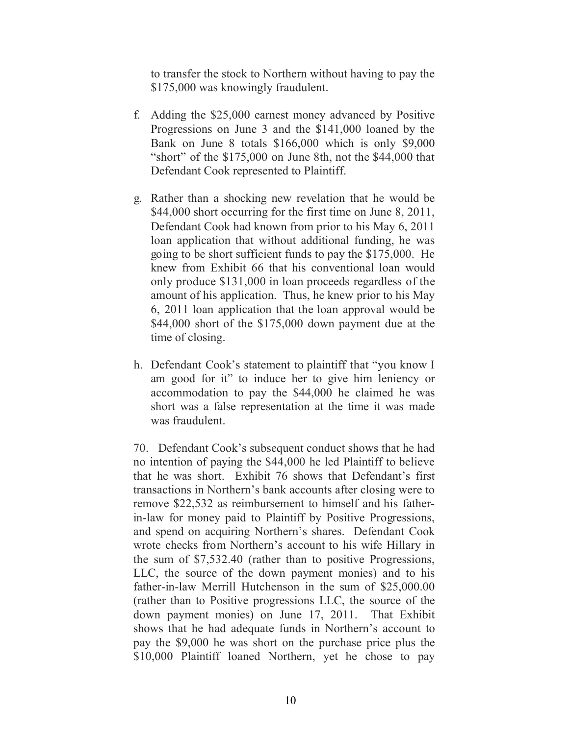to transfer the stock to Northern without having to pay the \$175,000 was knowingly fraudulent.

- f. Adding the \$25,000 earnest money advanced by Positive Progressions on June 3 and the \$141,000 loaned by the Bank on June 8 totals \$166,000 which is only \$9,000 "short" of the \$175,000 on June 8th, not the \$44,000 that Defendant Cook represented to Plaintiff.
- g. Rather than a shocking new revelation that he would be \$44,000 short occurring for the first time on June 8, 2011, Defendant Cook had known from prior to his May 6, 2011 loan application that without additional funding, he was going to be short sufficient funds to pay the \$175,000. He knew from Exhibit 66 that his conventional loan would only produce \$131,000 in loan proceeds regardless of the amount of his application. Thus, he knew prior to his May 6, 2011 loan application that the loan approval would be \$44,000 short of the \$175,000 down payment due at the time of closing.
- h. Defendant Cook's statement to plaintiff that "you know I am good for it" to induce her to give him leniency or accommodation to pay the \$44,000 he claimed he was short was a false representation at the time it was made was fraudulent.

70. Defendant Cook's subsequent conduct shows that he had no intention of paying the \$44,000 he led Plaintiff to believe that he was short. Exhibit 76 shows that Defendant's first transactions in Northern's bank accounts after closing were to remove \$22,532 as reimbursement to himself and his fatherin-law for money paid to Plaintiff by Positive Progressions, and spend on acquiring Northern's shares. Defendant Cook wrote checks from Northern's account to his wife Hillary in the sum of \$7,532.40 (rather than to positive Progressions, LLC, the source of the down payment monies) and to his father-in-law Merrill Hutchenson in the sum of \$25,000.00 (rather than to Positive progressions LLC, the source of the down payment monies) on June 17, 2011. That Exhibit shows that he had adequate funds in Northern's account to pay the \$9,000 he was short on the purchase price plus the \$10,000 Plaintiff loaned Northern, yet he chose to pay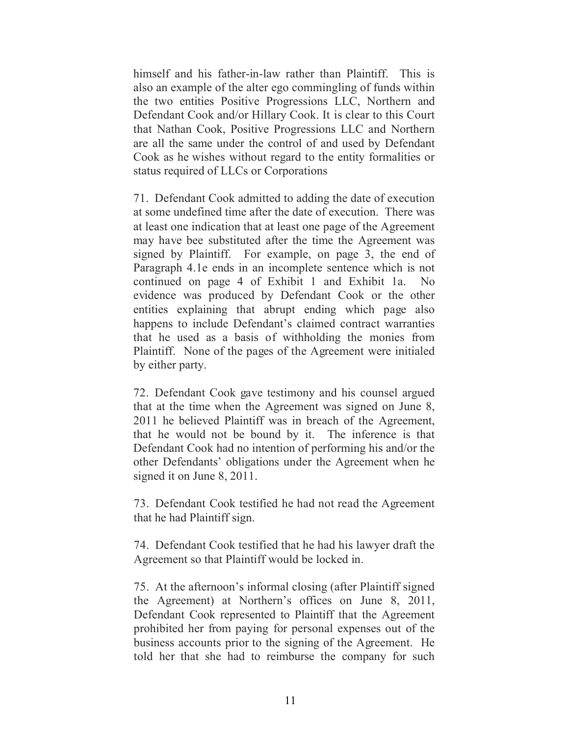himself and his father-in-law rather than Plaintiff. This is also an example of the alter ego commingling of funds within the two entities Positive Progressions LLC, Northern and Defendant Cook and/or Hillary Cook. It is clear to this Court that Nathan Cook, Positive Progressions LLC and Northern are all the same under the control of and used by Defendant Cook as he wishes without regard to the entity formalities or status required of LLCs or Corporations

71. Defendant Cook admitted to adding the date of execution at some undefined time after the date of execution. There was at least one indication that at least one page of the Agreement may have bee substituted after the time the Agreement was signed by Plaintiff. For example, on page 3, the end of Paragraph 4.1e ends in an incomplete sentence which is not continued on page 4 of Exhibit 1 and Exhibit 1a. No evidence was produced by Defendant Cook or the other entities explaining that abrupt ending which page also happens to include Defendant's claimed contract warranties that he used as a basis of withholding the monies from Plaintiff. None of the pages of the Agreement were initialed by either party.

72. Defendant Cook gave testimony and his counsel argued that at the time when the Agreement was signed on June 8, 2011 he believed Plaintiff was in breach of the Agreement, that he would not be bound by it. The inference is that Defendant Cook had no intention of performing his and/or the other Defendants' obligations under the Agreement when he signed it on June 8, 2011.

73. Defendant Cook testified he had not read the Agreement that he had Plaintiff sign.

74. Defendant Cook testified that he had his lawyer draft the Agreement so that Plaintiff would be locked in.

75. At the afternoon's informal closing (after Plaintiff signed the Agreement) at Northern's offices on June 8, 2011, Defendant Cook represented to Plaintiff that the Agreement prohibited her from paying for personal expenses out of the business accounts prior to the signing of the Agreement. He told her that she had to reimburse the company for such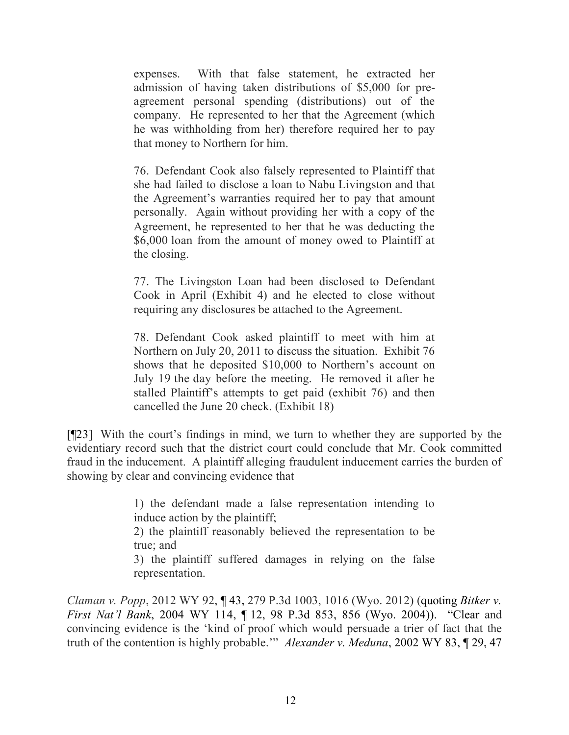expenses. With that false statement, he extracted her admission of having taken distributions of \$5,000 for preagreement personal spending (distributions) out of the company. He represented to her that the Agreement (which he was withholding from her) therefore required her to pay that money to Northern for him.

76. Defendant Cook also falsely represented to Plaintiff that she had failed to disclose a loan to Nabu Livingston and that the Agreement's warranties required her to pay that amount personally. Again without providing her with a copy of the Agreement, he represented to her that he was deducting the \$6,000 loan from the amount of money owed to Plaintiff at the closing.

77. The Livingston Loan had been disclosed to Defendant Cook in April (Exhibit 4) and he elected to close without requiring any disclosures be attached to the Agreement.

78. Defendant Cook asked plaintiff to meet with him at Northern on July 20, 2011 to discuss the situation. Exhibit 76 shows that he deposited \$10,000 to Northern's account on July 19 the day before the meeting. He removed it after he stalled Plaintiff's attempts to get paid (exhibit 76) and then cancelled the June 20 check. (Exhibit 18)

[¶23] With the court's findings in mind, we turn to whether they are supported by the evidentiary record such that the district court could conclude that Mr. Cook committed fraud in the inducement. A plaintiff alleging fraudulent inducement carries the burden of showing by clear and convincing evidence that

> 1) the defendant made a false representation intending to induce action by the plaintiff;

> 2) the plaintiff reasonably believed the representation to be true; and

> 3) the plaintiff suffered damages in relying on the false representation.

*Claman v. Popp*, 2012 WY 92, ¶ 43, 279 P.3d 1003, 1016 (Wyo. 2012) (quoting *Bitker v. First Nat'l Bank*, 2004 WY 114, ¶ 12, 98 P.3d 853, 856 (Wyo. 2004)). "Clear and convincing evidence is the 'kind of proof which would persuade a trier of fact that the truth of the contention is highly probable.'" *Alexander v. Meduna*, 2002 WY 83, ¶ 29, 47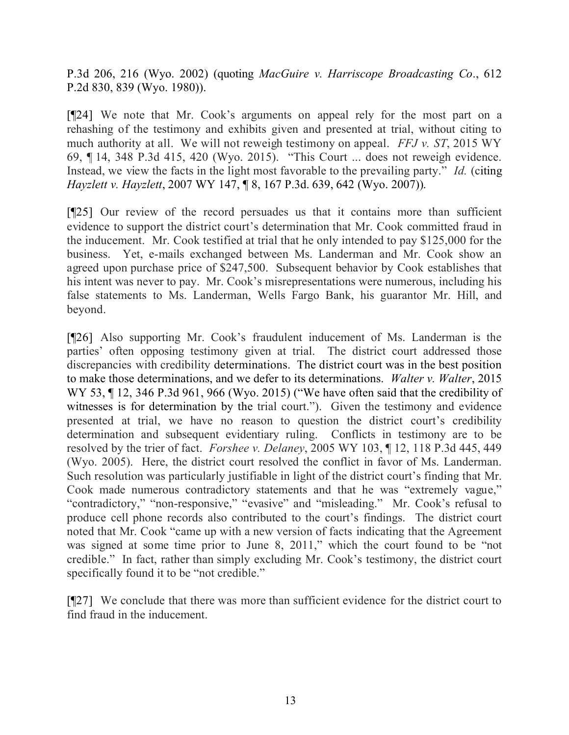P.3d 206, 216 (Wyo. 2002) (quoting *MacGuire v. Harriscope Broadcasting Co*., 612 P.2d 830, 839 (Wyo. 1980)).

[¶24] We note that Mr. Cook's arguments on appeal rely for the most part on a rehashing of the testimony and exhibits given and presented at trial, without citing to much authority at all. We will not reweigh testimony on appeal. *FFJ v. ST*, 2015 WY 69, ¶ 14, 348 P.3d 415, 420 (Wyo. 2015). "This Court ... does not reweigh evidence. Instead, we view the facts in the light most favorable to the prevailing party." *Id.* (citing *Hayzlett v. Hayzlett*, 2007 WY 147, ¶ 8, 167 P.3d. 639, 642 (Wyo. 2007)).

[¶25] Our review of the record persuades us that it contains more than sufficient evidence to support the district court's determination that Mr. Cook committed fraud in the inducement. Mr. Cook testified at trial that he only intended to pay \$125,000 for the business. Yet, e-mails exchanged between Ms. Landerman and Mr. Cook show an agreed upon purchase price of \$247,500. Subsequent behavior by Cook establishes that his intent was never to pay. Mr. Cook's misrepresentations were numerous, including his false statements to Ms. Landerman, Wells Fargo Bank, his guarantor Mr. Hill, and beyond.

[¶26] Also supporting Mr. Cook's fraudulent inducement of Ms. Landerman is the parties' often opposing testimony given at trial. The district court addressed those discrepancies with credibility determinations. The district court was in the best position to make those determinations, and we defer to its determinations. *Walter v. Walter*, 2015 WY 53,  $\P$  12, 346 P.3d 961, 966 (Wyo. 2015) ("We have often said that the credibility of witnesses is for determination by the trial court."). Given the testimony and evidence presented at trial, we have no reason to question the district court's credibility determination and subsequent evidentiary ruling. Conflicts in testimony are to be resolved by the trier of fact. *Forshee v. Delaney*, 2005 WY 103, ¶ 12, 118 P.3d 445, 449 (Wyo. 2005). Here, the district court resolved the conflict in favor of Ms. Landerman. Such resolution was particularly justifiable in light of the district court's finding that Mr. Cook made numerous contradictory statements and that he was "extremely vague," "contradictory," "non-responsive," "evasive" and "misleading." Mr. Cook's refusal to produce cell phone records also contributed to the court's findings. The district court noted that Mr. Cook "came up with a new version of facts indicating that the Agreement was signed at some time prior to June 8, 2011," which the court found to be "not credible." In fact, rather than simply excluding Mr. Cook's testimony, the district court specifically found it to be "not credible."

[¶27] We conclude that there was more than sufficient evidence for the district court to find fraud in the inducement.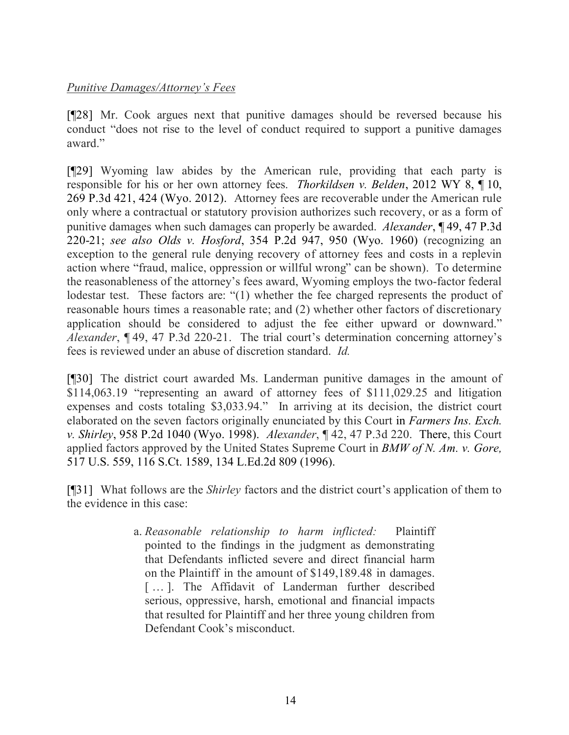## *Punitive Damages/Attorney's Fees*

[¶28] Mr. Cook argues next that punitive damages should be reversed because his conduct "does not rise to the level of conduct required to support a punitive damages award."

[¶29] Wyoming law abides by the American rule, providing that each party is responsible for his or her own attorney fees. *Thorkildsen v. Belden*, 2012 WY 8, ¶ 10, 269 P.3d 421, 424 (Wyo. 2012). Attorney fees are recoverable under the American rule only where a contractual or statutory provision authorizes such recovery, or as a form of punitive damages when such damages can properly be awarded. *Alexander*, ¶ 49, 47 P.3d 220-21; *see also Olds v. Hosford*, 354 P.2d 947, 950 (Wyo. 1960) (recognizing an exception to the general rule denying recovery of attorney fees and costs in a replevin action where "fraud, malice, oppression or willful wrong" can be shown). To determine the reasonableness of the attorney's fees award, Wyoming employs the two-factor federal lodestar test. These factors are: "(1) whether the fee charged represents the product of reasonable hours times a reasonable rate; and (2) whether other factors of discretionary application should be considered to adjust the fee either upward or downward." *Alexander*, ¶ 49, 47 P.3d 220-21. The trial court's determination concerning attorney's fees is reviewed under an abuse of discretion standard. *Id.*

[¶30] The district court awarded Ms. Landerman punitive damages in the amount of \$114,063.19 "representing an award of attorney fees of \$111,029.25 and litigation expenses and costs totaling \$3,033.94." In arriving at its decision, the district court elaborated on the seven factors originally enunciated by this Court in *Farmers Ins. Exch. v. Shirley*, 958 P.2d 1040 (Wyo. 1998). *Alexander*, ¶ 42, 47 P.3d 220. There, this Court applied factors approved by the United States Supreme Court in *BMW of N. Am. v. Gore,* 517 U.S. 559, 116 S.Ct. 1589, 134 L.Ed.2d 809 (1996).

[¶31] What follows are the *Shirley* factors and the district court's application of them to the evidence in this case:

> a. *Reasonable relationship to harm inflicted:* Plaintiff pointed to the findings in the judgment as demonstrating that Defendants inflicted severe and direct financial harm on the Plaintiff in the amount of \$149,189.48 in damages. [...]. The Affidavit of Landerman further described serious, oppressive, harsh, emotional and financial impacts that resulted for Plaintiff and her three young children from Defendant Cook's misconduct.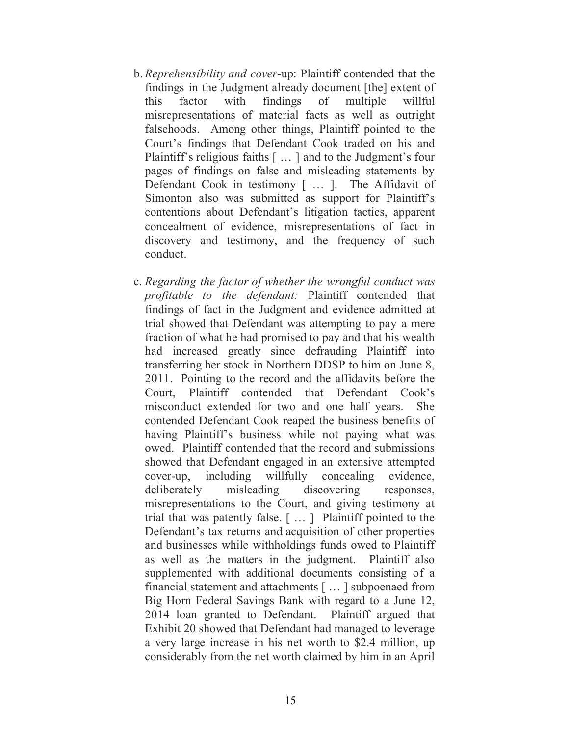- b. *Reprehensibility and cover-*up: Plaintiff contended that the findings in the Judgment already document [the] extent of this factor with findings of multiple willful misrepresentations of material facts as well as outright falsehoods. Among other things, Plaintiff pointed to the Court's findings that Defendant Cook traded on his and Plaintiff's religious faiths [ … ] and to the Judgment's four pages of findings on false and misleading statements by Defendant Cook in testimony [ … ]. The Affidavit of Simonton also was submitted as support for Plaintiff's contentions about Defendant's litigation tactics, apparent concealment of evidence, misrepresentations of fact in discovery and testimony, and the frequency of such conduct.
- c. *Regarding the factor of whether the wrongful conduct was profitable to the defendant:* Plaintiff contended that findings of fact in the Judgment and evidence admitted at trial showed that Defendant was attempting to pay a mere fraction of what he had promised to pay and that his wealth had increased greatly since defrauding Plaintiff into transferring her stock in Northern DDSP to him on June 8, 2011. Pointing to the record and the affidavits before the Court, Plaintiff contended that Defendant Cook's misconduct extended for two and one half years. She contended Defendant Cook reaped the business benefits of having Plaintiff's business while not paying what was owed. Plaintiff contended that the record and submissions showed that Defendant engaged in an extensive attempted cover-up, including willfully concealing evidence, deliberately misleading discovering responses, misrepresentations to the Court, and giving testimony at trial that was patently false. [ … ] Plaintiff pointed to the Defendant's tax returns and acquisition of other properties and businesses while withholdings funds owed to Plaintiff as well as the matters in the judgment. Plaintiff also supplemented with additional documents consisting of a financial statement and attachments [ … ] subpoenaed from Big Horn Federal Savings Bank with regard to a June 12, 2014 loan granted to Defendant. Plaintiff argued that Exhibit 20 showed that Defendant had managed to leverage a very large increase in his net worth to \$2.4 million, up considerably from the net worth claimed by him in an April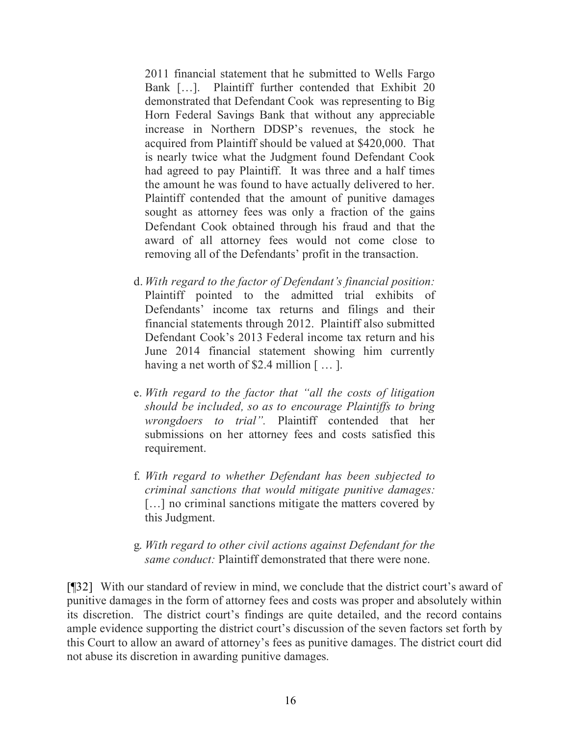2011 financial statement that he submitted to Wells Fargo Bank […]. Plaintiff further contended that Exhibit 20 demonstrated that Defendant Cook was representing to Big Horn Federal Savings Bank that without any appreciable increase in Northern DDSP's revenues, the stock he acquired from Plaintiff should be valued at \$420,000. That is nearly twice what the Judgment found Defendant Cook had agreed to pay Plaintiff. It was three and a half times the amount he was found to have actually delivered to her. Plaintiff contended that the amount of punitive damages sought as attorney fees was only a fraction of the gains Defendant Cook obtained through his fraud and that the award of all attorney fees would not come close to removing all of the Defendants' profit in the transaction.

- d. *With regard to the factor of Defendant's financial position:*  Plaintiff pointed to the admitted trial exhibits of Defendants' income tax returns and filings and their financial statements through 2012. Plaintiff also submitted Defendant Cook's 2013 Federal income tax return and his June 2014 financial statement showing him currently having a net worth of \$2.4 million [...].
- e. *With regard to the factor that "all the costs of litigation should be included, so as to encourage Plaintiffs to bring wrongdoers to trial".* Plaintiff contended that her submissions on her attorney fees and costs satisfied this requirement.
- f. *With regard to whether Defendant has been subjected to criminal sanctions that would mitigate punitive damages:* [...] no criminal sanctions mitigate the matters covered by this Judgment.
- g. *With regard to other civil actions against Defendant for the same conduct:* Plaintiff demonstrated that there were none.

[¶32] With our standard of review in mind, we conclude that the district court's award of punitive damages in the form of attorney fees and costs was proper and absolutely within its discretion. The district court's findings are quite detailed, and the record contains ample evidence supporting the district court's discussion of the seven factors set forth by this Court to allow an award of attorney's fees as punitive damages. The district court did not abuse its discretion in awarding punitive damages.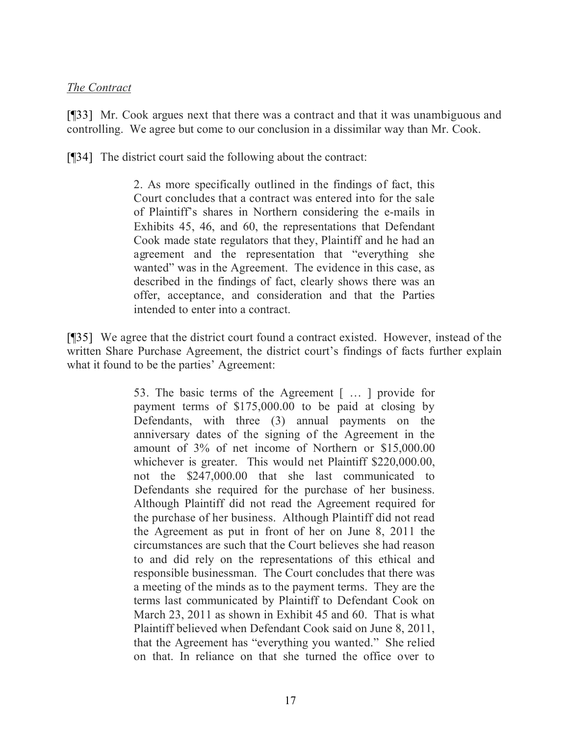## *The Contract*

[¶33] Mr. Cook argues next that there was a contract and that it was unambiguous and controlling. We agree but come to our conclusion in a dissimilar way than Mr. Cook.

[¶34] The district court said the following about the contract:

2. As more specifically outlined in the findings of fact, this Court concludes that a contract was entered into for the sale of Plaintiff's shares in Northern considering the e-mails in Exhibits 45, 46, and 60, the representations that Defendant Cook made state regulators that they, Plaintiff and he had an agreement and the representation that "everything she wanted" was in the Agreement. The evidence in this case, as described in the findings of fact, clearly shows there was an offer, acceptance, and consideration and that the Parties intended to enter into a contract.

[¶35] We agree that the district court found a contract existed. However, instead of the written Share Purchase Agreement, the district court's findings of facts further explain what it found to be the parties' Agreement:

> 53. The basic terms of the Agreement [ … ] provide for payment terms of \$175,000.00 to be paid at closing by Defendants, with three (3) annual payments on the anniversary dates of the signing of the Agreement in the amount of 3% of net income of Northern or \$15,000.00 whichever is greater. This would net Plaintiff \$220,000.00, not the \$247,000.00 that she last communicated to Defendants she required for the purchase of her business. Although Plaintiff did not read the Agreement required for the purchase of her business. Although Plaintiff did not read the Agreement as put in front of her on June 8, 2011 the circumstances are such that the Court believes she had reason to and did rely on the representations of this ethical and responsible businessman. The Court concludes that there was a meeting of the minds as to the payment terms. They are the terms last communicated by Plaintiff to Defendant Cook on March 23, 2011 as shown in Exhibit 45 and 60. That is what Plaintiff believed when Defendant Cook said on June 8, 2011, that the Agreement has "everything you wanted." She relied on that. In reliance on that she turned the office over to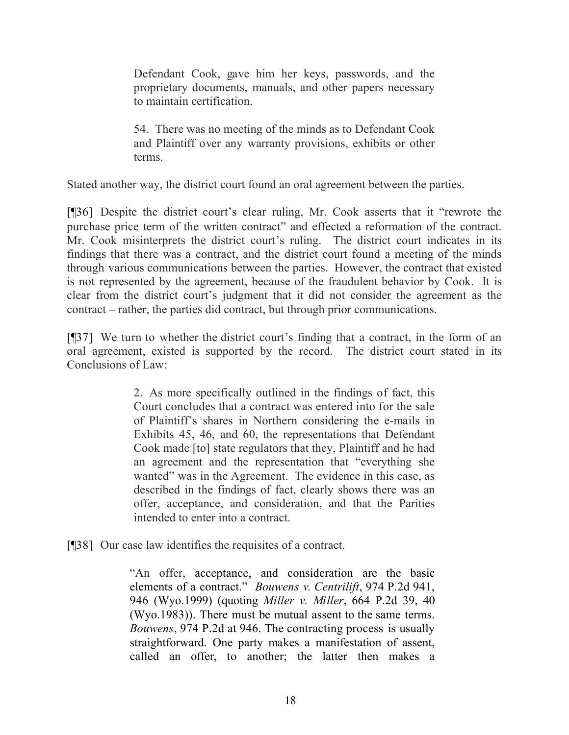Defendant Cook, gave him her keys, passwords, and the proprietary documents, manuals, and other papers necessary to maintain certification.

54. There was no meeting of the minds as to Defendant Cook and Plaintiff over any warranty provisions, exhibits or other terms.

Stated another way, the district court found an oral agreement between the parties.

[¶36] Despite the district court's clear ruling, Mr. Cook asserts that it "rewrote the purchase price term of the written contract" and effected a reformation of the contract. Mr. Cook misinterprets the district court's ruling. The district court indicates in its findings that there was a contract, and the district court found a meeting of the minds through various communications between the parties. However, the contract that existed is not represented by the agreement, because of the fraudulent behavior by Cook. It is clear from the district court's judgment that it did not consider the agreement as the contract – rather, the parties did contract, but through prior communications.

[¶37] We turn to whether the district court's finding that a contract, in the form of an oral agreement, existed is supported by the record. The district court stated in its Conclusions of Law:

> 2. As more specifically outlined in the findings of fact, this Court concludes that a contract was entered into for the sale of Plaintiff's shares in Northern considering the e-mails in Exhibits 45, 46, and 60, the representations that Defendant Cook made [to] state regulators that they, Plaintiff and he had an agreement and the representation that "everything she wanted" was in the Agreement. The evidence in this case, as described in the findings of fact, clearly shows there was an offer, acceptance, and consideration, and that the Parities intended to enter into a contract.

[¶38] Our case law identifies the requisites of a contract.

"An offer, acceptance, and consideration are the basic elements of a contract." *Bouwens v. Centrilift*, 974 P.2d 941, 946 (Wyo.1999) (quoting *Miller v. Miller*, 664 P.2d 39, 40 (Wyo.1983)). There must be mutual assent to the same terms. *Bouwens*, 974 P.2d at 946. The contracting process is usually straightforward. One party makes a manifestation of assent, called an offer, to another; the latter then makes a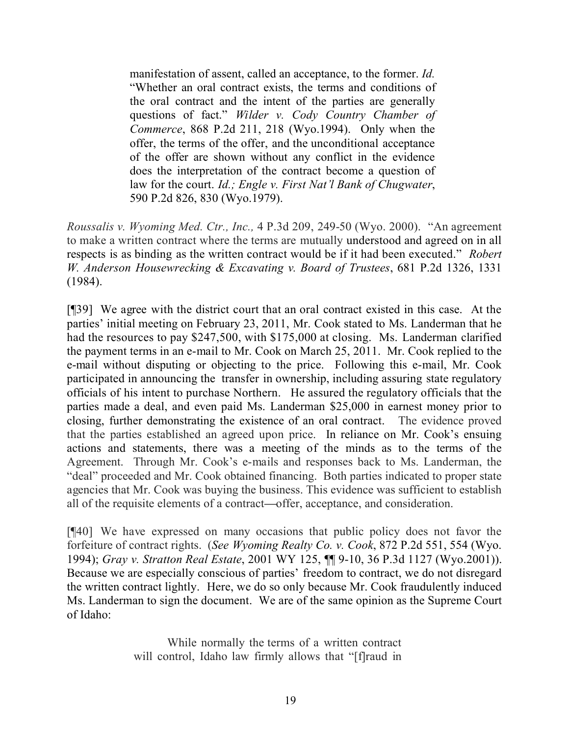manifestation of assent, called an acceptance, to the former. *Id.* "Whether an oral contract exists, the terms and conditions of the oral contract and the intent of the parties are generally questions of fact." *Wilder v. Cody Country Chamber of Commerce*, 868 P.2d 211, 218 (Wyo.1994). Only when the offer, the terms of the offer, and the unconditional acceptance of the offer are shown without any conflict in the evidence does the interpretation of the contract become a question of law for the court. *Id.; Engle v. First Nat'l Bank of Chugwater*, 590 P.2d 826, 830 (Wyo.1979).

*Roussalis v. Wyoming Med. Ctr., Inc.,* 4 P.3d 209, 249-50 (Wyo. 2000). "An agreement to make a written contract where the terms are mutually understood and agreed on in all respects is as binding as the written contract would be if it had been executed." *Robert W. Anderson Housewrecking & Excavating v. Board of Trustees*, 681 P.2d 1326, 1331 (1984).

[¶39] We agree with the district court that an oral contract existed in this case. At the parties' initial meeting on February 23, 2011, Mr. Cook stated to Ms. Landerman that he had the resources to pay \$247,500, with \$175,000 at closing. Ms. Landerman clarified the payment terms in an e-mail to Mr. Cook on March 25, 2011. Mr. Cook replied to the e-mail without disputing or objecting to the price. Following this e-mail, Mr. Cook participated in announcing the transfer in ownership, including assuring state regulatory officials of his intent to purchase Northern. He assured the regulatory officials that the parties made a deal, and even paid Ms. Landerman \$25,000 in earnest money prior to closing, further demonstrating the existence of an oral contract. The evidence proved that the parties established an agreed upon price. In reliance on Mr. Cook's ensuing actions and statements, there was a meeting of the minds as to the terms of the Agreement. Through Mr. Cook's e-mails and responses back to Ms. Landerman, the "deal" proceeded and Mr. Cook obtained financing. Both parties indicated to proper state agencies that Mr. Cook was buying the business. This evidence was sufficient to establish all of the requisite elements of a contract**—**offer, acceptance, and consideration.

[¶40] We have expressed on many occasions that public policy does not favor the forfeiture of contract rights. (*See Wyoming Realty Co. v. Cook*, 872 P.2d 551, 554 (Wyo. 1994); *Gray v. Stratton Real Estate*, 2001 WY 125, ¶¶ 9-10, 36 P.3d 1127 (Wyo.2001)). Because we are especially conscious of parties' freedom to contract, we do not disregard the written contract lightly. Here, we do so only because Mr. Cook fraudulently induced Ms. Landerman to sign the document. We are of the same opinion as the Supreme Court of Idaho:

> While normally the terms of a written contract will control, Idaho law firmly allows that "[f]raud in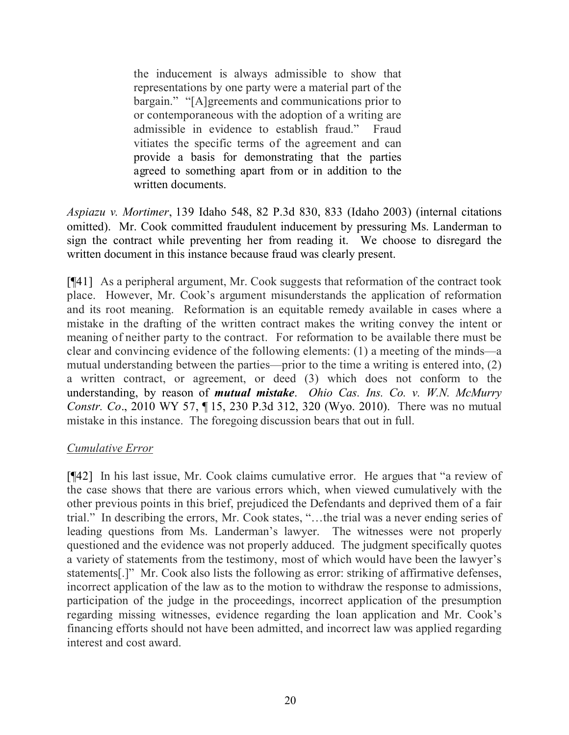the inducement is always admissible to show that representations by one party were a material part of the bargain." "[A]greements and communications prior to or contemporaneous with the adoption of a writing are admissible in evidence to establish fraud." Fraud vitiates the specific terms of the agreement and can provide a basis for demonstrating that the parties agreed to something apart from or in addition to the written documents.

*Aspiazu v. Mortimer*, 139 Idaho 548, 82 P.3d 830, 833 (Idaho 2003) (internal citations omitted). Mr. Cook committed fraudulent inducement by pressuring Ms. Landerman to sign the contract while preventing her from reading it. We choose to disregard the written document in this instance because fraud was clearly present.

[¶41] As a peripheral argument, Mr. Cook suggests that reformation of the contract took place. However, Mr. Cook's argument misunderstands the application of reformation and its root meaning. Reformation is an equitable remedy available in cases where a mistake in the drafting of the written contract makes the writing convey the intent or meaning of neither party to the contract. For reformation to be available there must be clear and convincing evidence of the following elements: (1) a meeting of the minds—a mutual understanding between the parties—prior to the time a writing is entered into, (2) a written contract, or agreement, or deed (3) which does not conform to the understanding, by reason of *mutual mistake*. *Ohio Cas. Ins. Co. v. W.N. McMurry Constr. Co*., 2010 WY 57, ¶ 15, 230 P.3d 312, 320 (Wyo. 2010). There was no mutual mistake in this instance. The foregoing discussion bears that out in full.

## *Cumulative Error*

[¶42] In his last issue, Mr. Cook claims cumulative error. He argues that "a review of the case shows that there are various errors which, when viewed cumulatively with the other previous points in this brief, prejudiced the Defendants and deprived them of a fair trial." In describing the errors, Mr. Cook states, "…the trial was a never ending series of leading questions from Ms. Landerman's lawyer. The witnesses were not properly questioned and the evidence was not properly adduced. The judgment specifically quotes a variety of statements from the testimony, most of which would have been the lawyer's statements[.]" Mr. Cook also lists the following as error: striking of affirmative defenses, incorrect application of the law as to the motion to withdraw the response to admissions, participation of the judge in the proceedings, incorrect application of the presumption regarding missing witnesses, evidence regarding the loan application and Mr. Cook's financing efforts should not have been admitted, and incorrect law was applied regarding interest and cost award.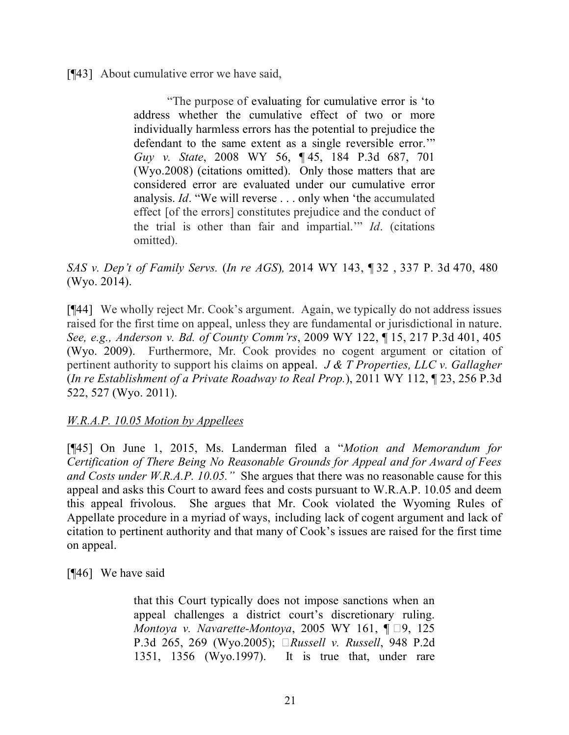[¶43] About cumulative error we have said,

"The purpose of evaluating for cumulative error is 'to address whether the cumulative effect of two or more individually harmless errors has the potential to prejudice the defendant to the same extent as a single reversible error.'" *Guy v. State*, 2008 WY 56, ¶ 45, 184 P.3d 687, 701 (Wyo.2008) (citations omitted). Only those matters that are considered error are evaluated under our cumulative error analysis. *Id*. "We will reverse . . . only when 'the accumulated effect [of the errors] constitutes prejudice and the conduct of the trial is other than fair and impartial.'" *Id*. (citations omitted).

*SAS v. Dep't of Family Servs.* (*In re AGS*)*,* 2014 WY 143, ¶ 32 , 337 P. 3d 470, 480 (Wyo. 2014).

[¶44] We wholly reject Mr. Cook's argument. Again, we typically do not address issues raised for the first time on appeal, unless they are fundamental or jurisdictional in nature. *See, e.g., Anderson v. Bd. of County Comm'rs*, 2009 WY 122, ¶ 15, 217 P.3d 401, 405 (Wyo. 2009). Furthermore, Mr. Cook provides no cogent argument or citation of pertinent authority to support his claims on appeal. *J & T Properties, LLC v. Gallagher* (*In re Establishment of a Private Roadway to Real Prop.*), 2011 WY 112, ¶ 23, 256 P.3d 522, 527 (Wyo. 2011).

*W.R.A.P. 10.05 Motion by Appellees*

[¶45] On June 1, 2015, Ms. Landerman filed a "*Motion and Memorandum for Certification of There Being No Reasonable Grounds for Appeal and for Award of Fees and Costs under W.R.A.P. 10.05."* She argues that there was no reasonable cause for this appeal and asks this Court to award fees and costs pursuant to W.R.A.P. 10.05 and deem this appeal frivolous. She argues that Mr. Cook violated the Wyoming Rules of Appellate procedure in a myriad of ways, including lack of cogent argument and lack of citation to pertinent authority and that many of Cook's issues are raised for the first time on appeal.

[¶46] We have said

that this Court typically does not impose sanctions when an appeal challenges a district court's discretionary ruling. *Montoya v. Navarette-Montoya*, 2005 WY 161,  $\P$   $\Box$ 9, 125 P.3d 265, 269 (Wyo.2005); *Russell v. Russell*, 948 P.2d 1351, 1356 (Wyo.1997). It is true that, under rare